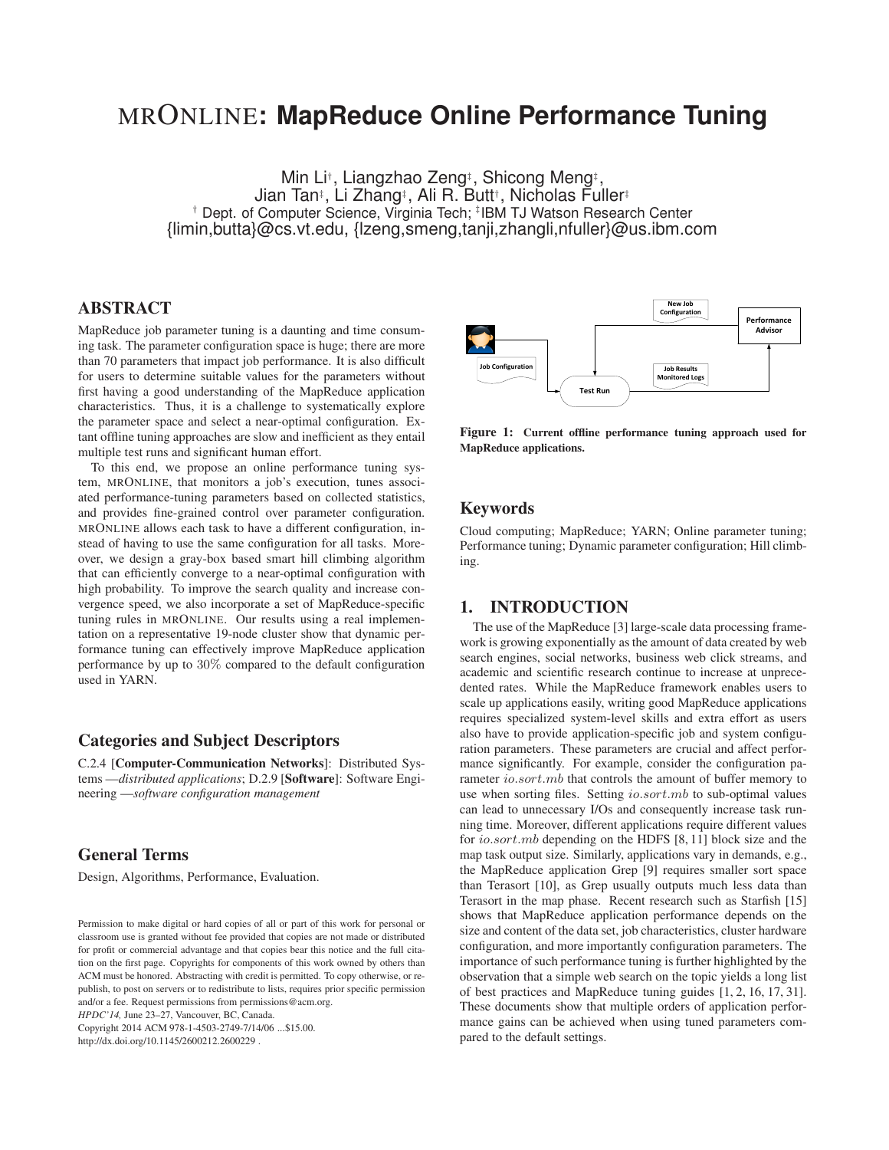# MRONLINE**: MapReduce Online Performance Tuning**

Min Li<sup>†</sup>, Liangzhao Zeng‡, Shicong Meng‡, Jian Tan‡ , Li Zhang‡ , Ali R. Butt† , Nicholas Fuller‡ † Dept. of Computer Science, Virginia Tech; ‡ IBM TJ Watson Research Center {limin,butta}@cs.vt.edu, {lzeng,smeng,tanji,zhangli,nfuller}@us.ibm.com

## **ABSTRACT**

MapReduce job parameter tuning is a daunting and time consuming task. The parameter configuration space is huge; there are more than 70 parameters that impact job performance. It is also difficult for users to determine suitable values for the parameters without first having a good understanding of the MapReduce application characteristics. Thus, it is a challenge to systematically explore the parameter space and select a near-optimal configuration. Extant offline tuning approaches are slow and inefficient as they entail multiple test runs and significant human effort.

To this end, we propose an online performance tuning system, MRONLINE, that monitors a job's execution, tunes associated performance-tuning parameters based on collected statistics, and provides fine-grained control over parameter configuration. MRONLINE allows each task to have a different configuration, instead of having to use the same configuration for all tasks. Moreover, we design a gray-box based smart hill climbing algorithm that can efficiently converge to a near-optimal configuration with high probability. To improve the search quality and increase convergence speed, we also incorporate a set of MapReduce-specific tuning rules in MRONLINE. Our results using a real implementation on a representative 19-node cluster show that dynamic performance tuning can effectively improve MapReduce application performance by up to 30% compared to the default configuration used in YARN.

## **Categories and Subject Descriptors**

C.2.4 [**Computer-Communication Networks**]: Distributed Systems —*distributed applications*; D.2.9 [**Software**]: Software Engineering —*software configuration management*

#### **General Terms**

Design, Algorithms, Performance, Evaluation.

*HPDC'14,* June 23–27, Vancouver, BC, Canada.

Copyright 2014 ACM 978-1-4503-2749-7/14/06 ...\$15.00. http://dx.doi.org/10.1145/2600212.2600229 .



**Figure 1: Current offline performance tuning approach used for MapReduce applications.**

#### **Keywords**

Cloud computing; MapReduce; YARN; Online parameter tuning; Performance tuning; Dynamic parameter configuration; Hill climbing.

## **1. INTRODUCTION**

The use of the MapReduce [3] large-scale data processing framework is growing exponentially as the amount of data created by web search engines, social networks, business web click streams, and academic and scientific research continue to increase at unprecedented rates. While the MapReduce framework enables users to scale up applications easily, writing good MapReduce applications requires specialized system-level skills and extra effort as users also have to provide application-specific job and system configuration parameters. These parameters are crucial and affect performance significantly. For example, consider the configuration parameter *io.sort.mb* that controls the amount of buffer memory to use when sorting files. Setting *io.sort.mb* to sub-optimal values can lead to unnecessary I/Os and consequently increase task running time. Moreover, different applications require different values for io.sort.mb depending on the HDFS [8, 11] block size and the map task output size. Similarly, applications vary in demands, e.g., the MapReduce application Grep [9] requires smaller sort space than Terasort [10], as Grep usually outputs much less data than Terasort in the map phase. Recent research such as Starfish [15] shows that MapReduce application performance depends on the size and content of the data set, job characteristics, cluster hardware configuration, and more importantly configuration parameters. The importance of such performance tuning is further highlighted by the observation that a simple web search on the topic yields a long list of best practices and MapReduce tuning guides [1, 2, 16, 17, 31]. These documents show that multiple orders of application performance gains can be achieved when using tuned parameters compared to the default settings.

Permission to make digital or hard copies of all or part of this work for personal or classroom use is granted without fee provided that copies are not made or distributed for profit or commercial advantage and that copies bear this notice and the full citation on the first page. Copyrights for components of this work owned by others than ACM must be honored. Abstracting with credit is permitted. To copy otherwise, or republish, to post on servers or to redistribute to lists, requires prior specific permission and/or a fee. Request permissions from permissions@acm.org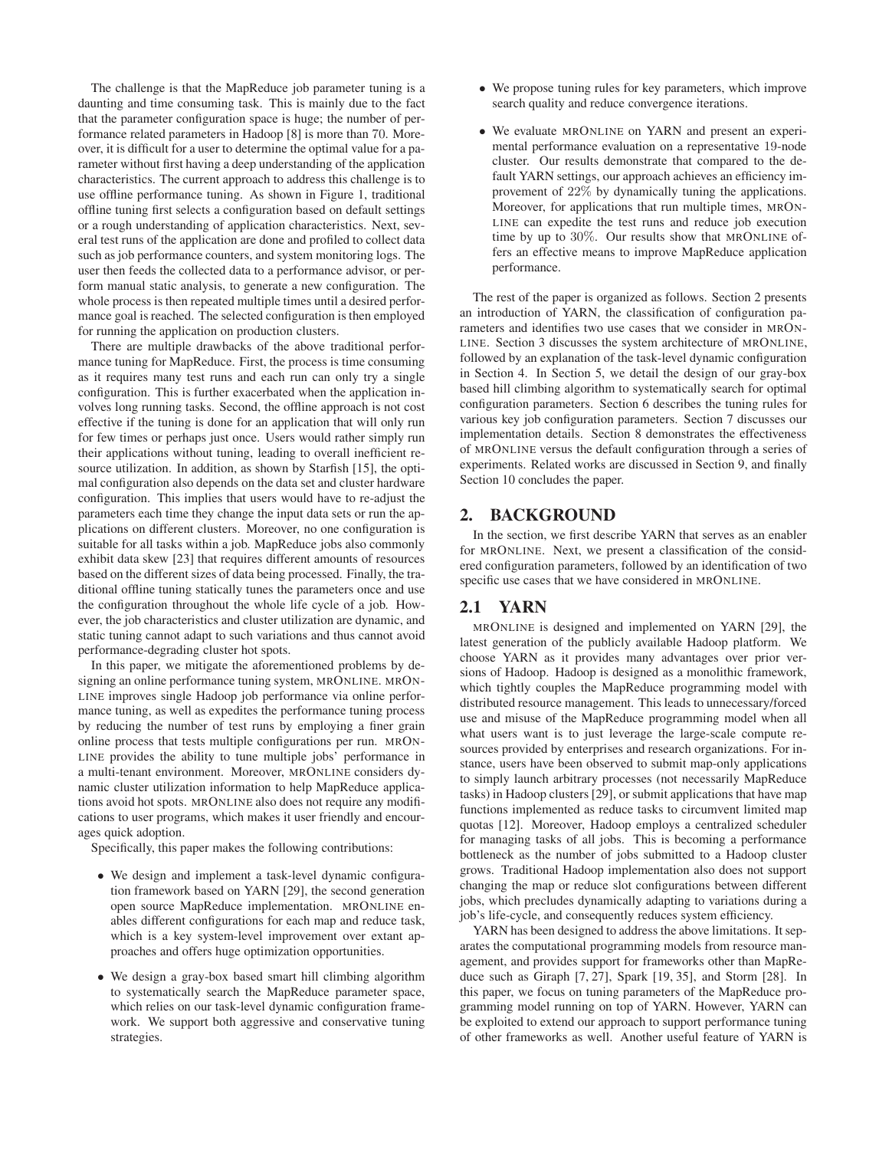The challenge is that the MapReduce job parameter tuning is a daunting and time consuming task. This is mainly due to the fact that the parameter configuration space is huge; the number of performance related parameters in Hadoop [8] is more than 70. Moreover, it is difficult for a user to determine the optimal value for a parameter without first having a deep understanding of the application characteristics. The current approach to address this challenge is to use offline performance tuning. As shown in Figure 1, traditional offline tuning first selects a configuration based on default settings or a rough understanding of application characteristics. Next, several test runs of the application are done and profiled to collect data such as job performance counters, and system monitoring logs. The user then feeds the collected data to a performance advisor, or perform manual static analysis, to generate a new configuration. The whole process is then repeated multiple times until a desired performance goal is reached. The selected configuration is then employed for running the application on production clusters.

There are multiple drawbacks of the above traditional performance tuning for MapReduce. First, the process is time consuming as it requires many test runs and each run can only try a single configuration. This is further exacerbated when the application involves long running tasks. Second, the offline approach is not cost effective if the tuning is done for an application that will only run for few times or perhaps just once. Users would rather simply run their applications without tuning, leading to overall inefficient resource utilization. In addition, as shown by Starfish [15], the optimal configuration also depends on the data set and cluster hardware configuration. This implies that users would have to re-adjust the parameters each time they change the input data sets or run the applications on different clusters. Moreover, no one configuration is suitable for all tasks within a job. MapReduce jobs also commonly exhibit data skew [23] that requires different amounts of resources based on the different sizes of data being processed. Finally, the traditional offline tuning statically tunes the parameters once and use the configuration throughout the whole life cycle of a job. However, the job characteristics and cluster utilization are dynamic, and static tuning cannot adapt to such variations and thus cannot avoid performance-degrading cluster hot spots.

In this paper, we mitigate the aforementioned problems by designing an online performance tuning system, MRONLINE. MRON-LINE improves single Hadoop job performance via online performance tuning, as well as expedites the performance tuning process by reducing the number of test runs by employing a finer grain online process that tests multiple configurations per run. MRON-LINE provides the ability to tune multiple jobs' performance in a multi-tenant environment. Moreover, MRONLINE considers dynamic cluster utilization information to help MapReduce applications avoid hot spots. MRONLINE also does not require any modifications to user programs, which makes it user friendly and encourages quick adoption.

Specifically, this paper makes the following contributions:

- We design and implement a task-level dynamic configuration framework based on YARN [29], the second generation open source MapReduce implementation. MRONLINE enables different configurations for each map and reduce task, which is a key system-level improvement over extant approaches and offers huge optimization opportunities.
- We design a gray-box based smart hill climbing algorithm to systematically search the MapReduce parameter space, which relies on our task-level dynamic configuration framework. We support both aggressive and conservative tuning strategies.
- We propose tuning rules for key parameters, which improve search quality and reduce convergence iterations.
- We evaluate MRONLINE on YARN and present an experimental performance evaluation on a representative 19-node cluster. Our results demonstrate that compared to the default YARN settings, our approach achieves an efficiency improvement of 22% by dynamically tuning the applications. Moreover, for applications that run multiple times, MRON-LINE can expedite the test runs and reduce job execution time by up to 30%. Our results show that MRONLINE offers an effective means to improve MapReduce application performance.

The rest of the paper is organized as follows. Section 2 presents an introduction of YARN, the classification of configuration parameters and identifies two use cases that we consider in MRON-LINE. Section 3 discusses the system architecture of MRONLINE, followed by an explanation of the task-level dynamic configuration in Section 4. In Section 5, we detail the design of our gray-box based hill climbing algorithm to systematically search for optimal configuration parameters. Section 6 describes the tuning rules for various key job configuration parameters. Section 7 discusses our implementation details. Section 8 demonstrates the effectiveness of MRONLINE versus the default configuration through a series of experiments. Related works are discussed in Section 9, and finally Section 10 concludes the paper.

#### **2. BACKGROUND**

In the section, we first describe YARN that serves as an enabler for MRONLINE. Next, we present a classification of the considered configuration parameters, followed by an identification of two specific use cases that we have considered in MRONLINE.

#### **2.1 YARN**

MRONLINE is designed and implemented on YARN [29], the latest generation of the publicly available Hadoop platform. We choose YARN as it provides many advantages over prior versions of Hadoop. Hadoop is designed as a monolithic framework, which tightly couples the MapReduce programming model with distributed resource management. This leads to unnecessary/forced use and misuse of the MapReduce programming model when all what users want is to just leverage the large-scale compute resources provided by enterprises and research organizations. For instance, users have been observed to submit map-only applications to simply launch arbitrary processes (not necessarily MapReduce tasks) in Hadoop clusters [29], or submit applications that have map functions implemented as reduce tasks to circumvent limited map quotas [12]. Moreover, Hadoop employs a centralized scheduler for managing tasks of all jobs. This is becoming a performance bottleneck as the number of jobs submitted to a Hadoop cluster grows. Traditional Hadoop implementation also does not support changing the map or reduce slot configurations between different jobs, which precludes dynamically adapting to variations during a job's life-cycle, and consequently reduces system efficiency.

YARN has been designed to address the above limitations. It separates the computational programming models from resource management, and provides support for frameworks other than MapReduce such as Giraph [7, 27], Spark [19, 35], and Storm [28]. In this paper, we focus on tuning parameters of the MapReduce programming model running on top of YARN. However, YARN can be exploited to extend our approach to support performance tuning of other frameworks as well. Another useful feature of YARN is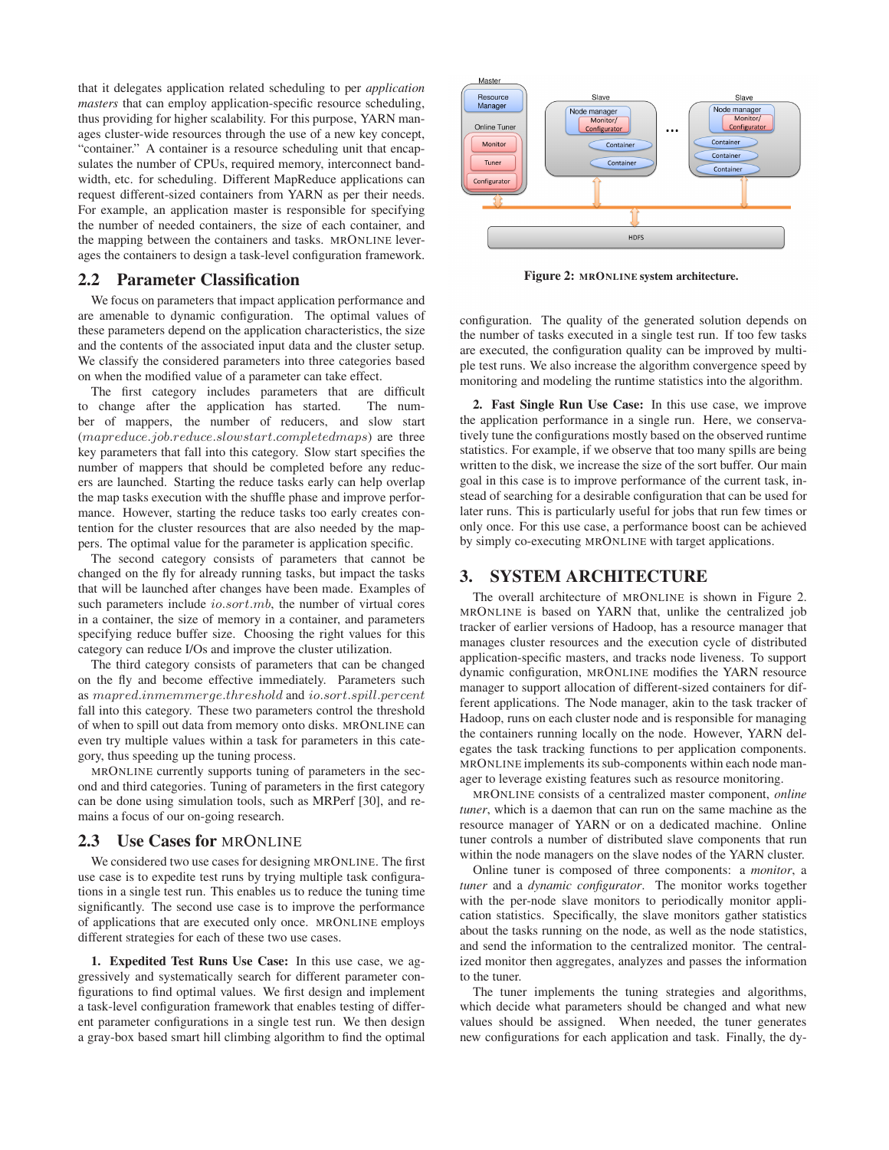that it delegates application related scheduling to per *application masters* that can employ application-specific resource scheduling, thus providing for higher scalability. For this purpose, YARN manages cluster-wide resources through the use of a new key concept, "container." A container is a resource scheduling unit that encapsulates the number of CPUs, required memory, interconnect bandwidth, etc. for scheduling. Different MapReduce applications can request different-sized containers from YARN as per their needs. For example, an application master is responsible for specifying the number of needed containers, the size of each container, and the mapping between the containers and tasks. MRONLINE leverages the containers to design a task-level configuration framework.

#### **2.2 Parameter Classification**

We focus on parameters that impact application performance and are amenable to dynamic configuration. The optimal values of these parameters depend on the application characteristics, the size and the contents of the associated input data and the cluster setup. We classify the considered parameters into three categories based on when the modified value of a parameter can take effect.

The first category includes parameters that are difficult to change after the application has started. The number of mappers, the number of reducers, and slow start (mapreduce.job.reduce.slowstart.completedmaps) are three key parameters that fall into this category. Slow start specifies the number of mappers that should be completed before any reducers are launched. Starting the reduce tasks early can help overlap the map tasks execution with the shuffle phase and improve performance. However, starting the reduce tasks too early creates contention for the cluster resources that are also needed by the mappers. The optimal value for the parameter is application specific.

The second category consists of parameters that cannot be changed on the fly for already running tasks, but impact the tasks that will be launched after changes have been made. Examples of such parameters include *io.sort.mb*, the number of virtual cores in a container, the size of memory in a container, and parameters specifying reduce buffer size. Choosing the right values for this category can reduce I/Os and improve the cluster utilization.

The third category consists of parameters that can be changed on the fly and become effective immediately. Parameters such as mapred.inmemmerge.threshold and io.sort.spill.percent fall into this category. These two parameters control the threshold of when to spill out data from memory onto disks. MRONLINE can even try multiple values within a task for parameters in this category, thus speeding up the tuning process.

MRONLINE currently supports tuning of parameters in the second and third categories. Tuning of parameters in the first category can be done using simulation tools, such as MRPerf [30], and remains a focus of our on-going research.

#### **2.3 Use Cases for** MRONLINE

We considered two use cases for designing MRONLINE. The first use case is to expedite test runs by trying multiple task configurations in a single test run. This enables us to reduce the tuning time significantly. The second use case is to improve the performance of applications that are executed only once. MRONLINE employs different strategies for each of these two use cases.

**1. Expedited Test Runs Use Case:** In this use case, we aggressively and systematically search for different parameter configurations to find optimal values. We first design and implement a task-level configuration framework that enables testing of different parameter configurations in a single test run. We then design a gray-box based smart hill climbing algorithm to find the optimal



**Figure 2: MRONLINE system architecture.**

configuration. The quality of the generated solution depends on the number of tasks executed in a single test run. If too few tasks are executed, the configuration quality can be improved by multiple test runs. We also increase the algorithm convergence speed by monitoring and modeling the runtime statistics into the algorithm.

**2. Fast Single Run Use Case:** In this use case, we improve the application performance in a single run. Here, we conservatively tune the configurations mostly based on the observed runtime statistics. For example, if we observe that too many spills are being written to the disk, we increase the size of the sort buffer. Our main goal in this case is to improve performance of the current task, instead of searching for a desirable configuration that can be used for later runs. This is particularly useful for jobs that run few times or only once. For this use case, a performance boost can be achieved by simply co-executing MRONLINE with target applications.

#### **3. SYSTEM ARCHITECTURE**

The overall architecture of MRONLINE is shown in Figure 2. MRONLINE is based on YARN that, unlike the centralized job tracker of earlier versions of Hadoop, has a resource manager that manages cluster resources and the execution cycle of distributed application-specific masters, and tracks node liveness. To support dynamic configuration, MRONLINE modifies the YARN resource manager to support allocation of different-sized containers for different applications. The Node manager, akin to the task tracker of Hadoop, runs on each cluster node and is responsible for managing the containers running locally on the node. However, YARN delegates the task tracking functions to per application components. MRONLINE implements its sub-components within each node manager to leverage existing features such as resource monitoring.

MRONLINE consists of a centralized master component, *online tuner*, which is a daemon that can run on the same machine as the resource manager of YARN or on a dedicated machine. Online tuner controls a number of distributed slave components that run within the node managers on the slave nodes of the YARN cluster.

Online tuner is composed of three components: a *monitor*, a *tuner* and a *dynamic configurator*. The monitor works together with the per-node slave monitors to periodically monitor application statistics. Specifically, the slave monitors gather statistics about the tasks running on the node, as well as the node statistics, and send the information to the centralized monitor. The centralized monitor then aggregates, analyzes and passes the information to the tuner.

The tuner implements the tuning strategies and algorithms, which decide what parameters should be changed and what new values should be assigned. When needed, the tuner generates new configurations for each application and task. Finally, the dy-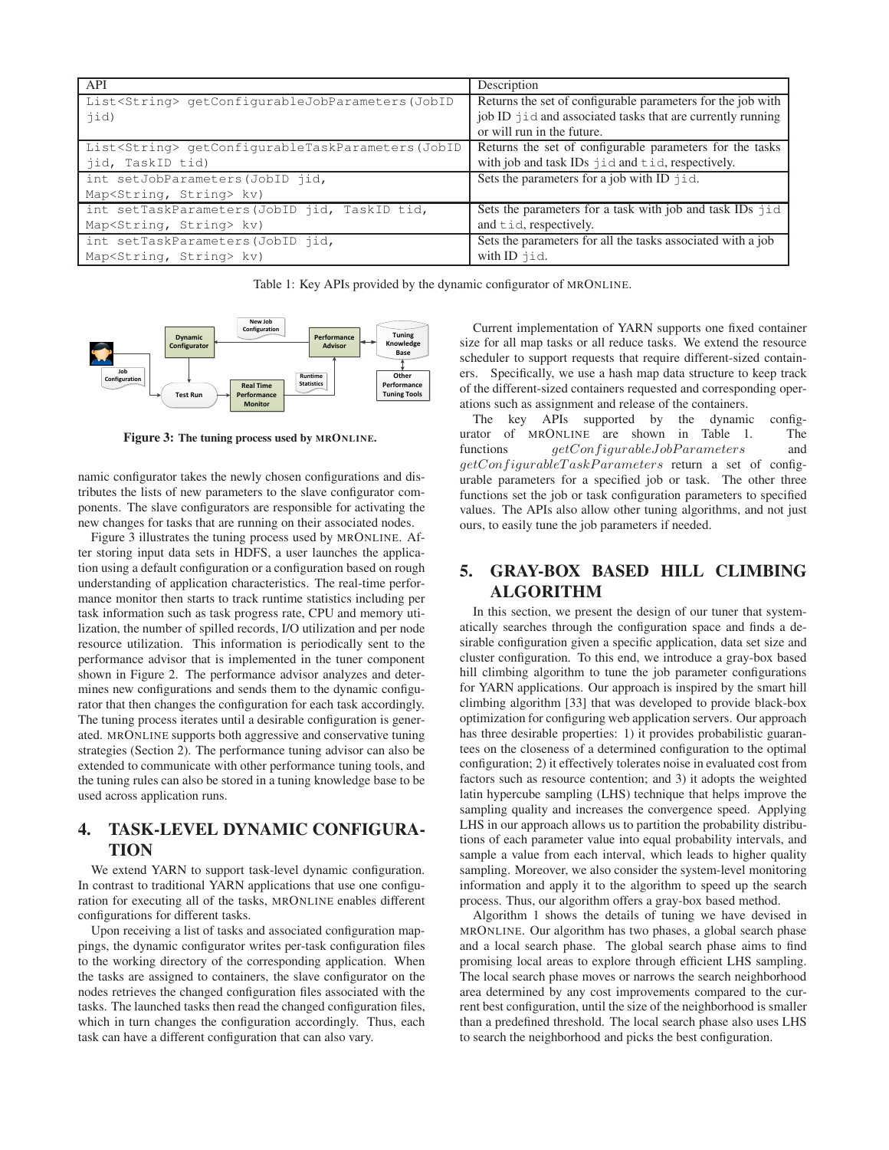| API                                                        | Description                                                 |  |  |
|------------------------------------------------------------|-------------------------------------------------------------|--|--|
| List <string> qetConfigurableJobParameters(JobID</string>  | Returns the set of configurable parameters for the job with |  |  |
| jid)                                                       | job ID jid and associated tasks that are currently running  |  |  |
|                                                            | or will run in the future.                                  |  |  |
| List <string> qetConfiqurableTaskParameters(JobID</string> | Returns the set of configurable parameters for the tasks    |  |  |
| jid, TaskID tid)                                           | with job and task IDs jid and tid, respectively.            |  |  |
| int setJobParameters (JobID jid,                           | Sets the parameters for a job with ID jid.                  |  |  |
| Map <string, string=""> kv)</string,>                      |                                                             |  |  |
| int setTaskParameters (JobID jid, TaskID tid,              | Sets the parameters for a task with job and task IDs jid    |  |  |
| Map <string, string=""> kv)</string,>                      | and tid, respectively.                                      |  |  |
| int setTaskParameters (JobID jid,                          | Sets the parameters for all the tasks associated with a job |  |  |
| Map <string, string=""> kv)</string,>                      | with $ID$ $\exists$ $id.$                                   |  |  |

Table 1: Key APIs provided by the dynamic configurator of MRONLINE.



**Figure 3: The tuning process used by MRONLINE.**

namic configurator takes the newly chosen configurations and distributes the lists of new parameters to the slave configurator components. The slave configurators are responsible for activating the new changes for tasks that are running on their associated nodes.

Figure 3 illustrates the tuning process used by MRONLINE. After storing input data sets in HDFS, a user launches the application using a default configuration or a configuration based on rough understanding of application characteristics. The real-time performance monitor then starts to track runtime statistics including per task information such as task progress rate, CPU and memory utilization, the number of spilled records, I/O utilization and per node resource utilization. This information is periodically sent to the performance advisor that is implemented in the tuner component shown in Figure 2. The performance advisor analyzes and determines new configurations and sends them to the dynamic configurator that then changes the configuration for each task accordingly. The tuning process iterates until a desirable configuration is generated. MRONLINE supports both aggressive and conservative tuning strategies (Section 2). The performance tuning advisor can also be extended to communicate with other performance tuning tools, and the tuning rules can also be stored in a tuning knowledge base to be used across application runs.

# **4. TASK-LEVEL DYNAMIC CONFIGURA-TION**

We extend YARN to support task-level dynamic configuration. In contrast to traditional YARN applications that use one configuration for executing all of the tasks, MRONLINE enables different configurations for different tasks.

Upon receiving a list of tasks and associated configuration mappings, the dynamic configurator writes per-task configuration files to the working directory of the corresponding application. When the tasks are assigned to containers, the slave configurator on the nodes retrieves the changed configuration files associated with the tasks. The launched tasks then read the changed configuration files, which in turn changes the configuration accordingly. Thus, each task can have a different configuration that can also vary.

Current implementation of YARN supports one fixed container size for all map tasks or all reduce tasks. We extend the resource scheduler to support requests that require different-sized containers. Specifically, we use a hash map data structure to keep track of the different-sized containers requested and corresponding operations such as assignment and release of the containers.

The key APIs supported by the dynamic configurator of MRONLINE are shown in Table 1. The functions  $getConfigurableJobParameters$  and  $getConfiqurableTask Parameters$  return a set of configurable parameters for a specified job or task. The other three functions set the job or task configuration parameters to specified values. The APIs also allow other tuning algorithms, and not just ours, to easily tune the job parameters if needed.

## **5. GRAY-BOX BASED HILL CLIMBING ALGORITHM**

In this section, we present the design of our tuner that systematically searches through the configuration space and finds a desirable configuration given a specific application, data set size and cluster configuration. To this end, we introduce a gray-box based hill climbing algorithm to tune the job parameter configurations for YARN applications. Our approach is inspired by the smart hill climbing algorithm [33] that was developed to provide black-box optimization for configuring web application servers. Our approach has three desirable properties: 1) it provides probabilistic guarantees on the closeness of a determined configuration to the optimal configuration; 2) it effectively tolerates noise in evaluated cost from factors such as resource contention; and 3) it adopts the weighted latin hypercube sampling (LHS) technique that helps improve the sampling quality and increases the convergence speed. Applying LHS in our approach allows us to partition the probability distributions of each parameter value into equal probability intervals, and sample a value from each interval, which leads to higher quality sampling. Moreover, we also consider the system-level monitoring information and apply it to the algorithm to speed up the search process. Thus, our algorithm offers a gray-box based method.

Algorithm 1 shows the details of tuning we have devised in MRONLINE. Our algorithm has two phases, a global search phase and a local search phase. The global search phase aims to find promising local areas to explore through efficient LHS sampling. The local search phase moves or narrows the search neighborhood area determined by any cost improvements compared to the current best configuration, until the size of the neighborhood is smaller than a predefined threshold. The local search phase also uses LHS to search the neighborhood and picks the best configuration.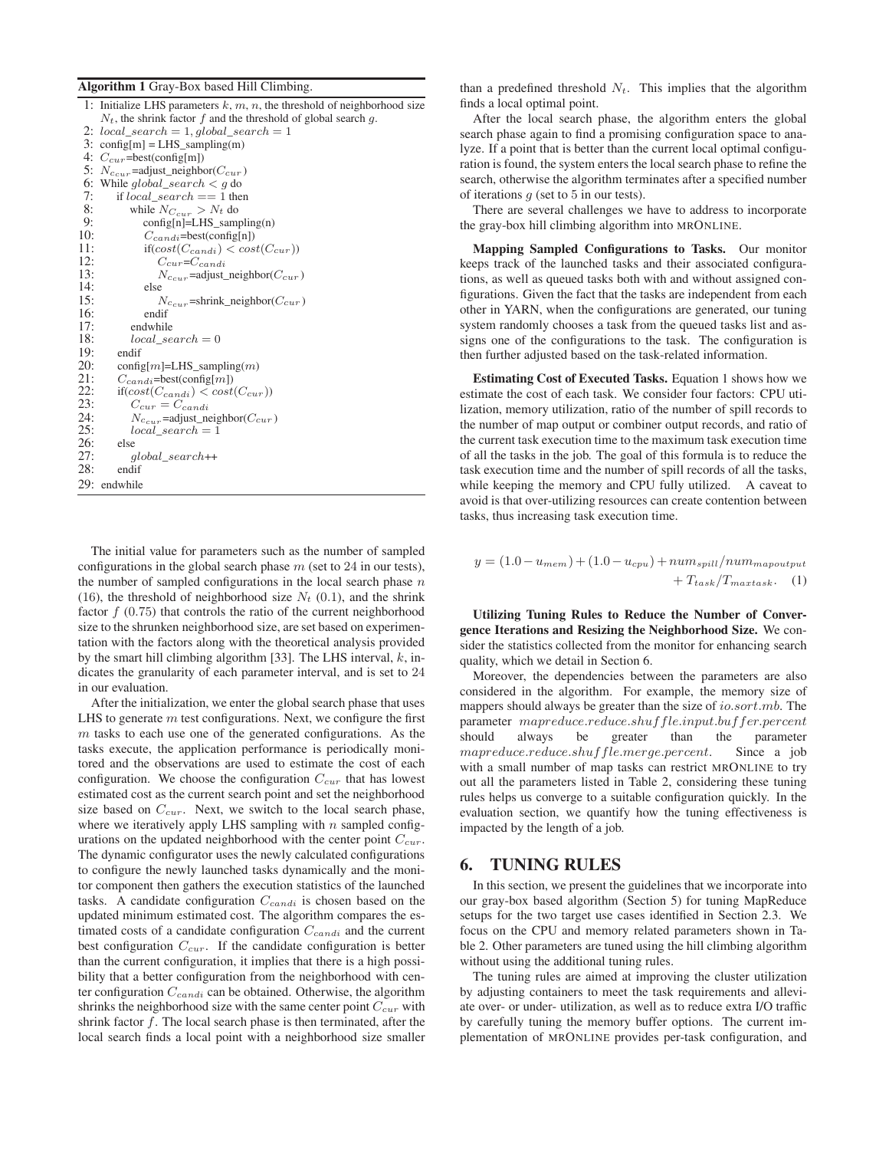#### **Algorithm 1** Gray-Box based Hill Climbing.

|     | 1: Initialize LHS parameters $k, m, n$ , the threshold of neighborhood size |
|-----|-----------------------------------------------------------------------------|
|     | $N_t$ , the shrink factor f and the threshold of global search g.           |
|     | 2: $local\_search = 1, global\_search = 1$                                  |
|     | $3:$ config[m] = LHS_sampling(m)                                            |
|     | 4: $C_{cur}$ =best(config[m])                                               |
|     | 5: $N_{c_{cur}}$ =adjust_neighbor( $C_{cur}$ )                              |
|     | 6: While global_search $\lt g$ do                                           |
| 7:  | if $local\_search == 1$ then                                                |
| 8:  | while $N_{C_{cur}} > N_t$ do                                                |
| 9:  | $config[n]=LHS$ _sampling(n)                                                |
| 10: | $C_{candi} = best(config[n])$                                               |
| 11: | $if(cost(C_{candi}) < cost(C_{cur}))$                                       |
| 12: | $C_{cur} = C_{candi}$                                                       |
| 13: | $N_{ccur}$ =adjust_neighbor( $C_{cur}$ )                                    |
| 14: | else                                                                        |
| 15: | $N_{c_{cur}}$ =shrink_neighbor( $C_{cur}$ )                                 |
| 16: | endif                                                                       |
| 17: | endwhile                                                                    |
| 18: | $local\_search = 0$                                                         |
| 19: | endif                                                                       |
| 20: | $config[m] = LHS$ _sampling( <i>m</i> )                                     |
| 21: | $C_{candi} = best(config[m])$                                               |
| 22: | $if(cost(C_{candi}) < cost(C_{cur}))$                                       |
| 23: | $C_{cur} = C_{candi}$                                                       |
| 24: | $N_{c_{cur}}$ =adjust_neighbor( $C_{cur}$ )                                 |
| 25: | $local\_search = 1$                                                         |
| 26: | else                                                                        |
| 27: | qlobal search++                                                             |
| 28: | endif                                                                       |
|     | 29: endwhile                                                                |

The initial value for parameters such as the number of sampled configurations in the global search phase  $m$  (set to 24 in our tests), the number of sampled configurations in the local search phase  $n$ (16), the threshold of neighborhood size  $N_t$  (0.1), and the shrink factor  $f(0.75)$  that controls the ratio of the current neighborhood size to the shrunken neighborhood size, are set based on experimentation with the factors along with the theoretical analysis provided by the smart hill climbing algorithm [33]. The LHS interval,  $k$ , indicates the granularity of each parameter interval, and is set to 24 in our evaluation.

After the initialization, we enter the global search phase that uses LHS to generate  $m$  test configurations. Next, we configure the first  $m$  tasks to each use one of the generated configurations. As the tasks execute, the application performance is periodically monitored and the observations are used to estimate the cost of each configuration. We choose the configuration  $C_{cur}$  that has lowest estimated cost as the current search point and set the neighborhood size based on  $C_{cur}$ . Next, we switch to the local search phase, where we iteratively apply LHS sampling with  $n$  sampled configurations on the updated neighborhood with the center point  $C_{cur}$ . The dynamic configurator uses the newly calculated configurations to configure the newly launched tasks dynamically and the monitor component then gathers the execution statistics of the launched tasks. A candidate configuration  $C_{candi}$  is chosen based on the updated minimum estimated cost. The algorithm compares the estimated costs of a candidate configuration  $C_{candi}$  and the current best configuration  $C_{cur}$ . If the candidate configuration is better than the current configuration, it implies that there is a high possibility that a better configuration from the neighborhood with center configuration  $C_{candi}$  can be obtained. Otherwise, the algorithm shrinks the neighborhood size with the same center point  $C_{cur}$  with shrink factor  $f$ . The local search phase is then terminated, after the local search finds a local point with a neighborhood size smaller

than a predefined threshold  $N_t$ . This implies that the algorithm finds a local optimal point.

After the local search phase, the algorithm enters the global search phase again to find a promising configuration space to analyze. If a point that is better than the current local optimal configuration is found, the system enters the local search phase to refine the search, otherwise the algorithm terminates after a specified number of iterations  $q$  (set to 5 in our tests).

There are several challenges we have to address to incorporate the gray-box hill climbing algorithm into MRONLINE.

**Mapping Sampled Configurations to Tasks.** Our monitor keeps track of the launched tasks and their associated configurations, as well as queued tasks both with and without assigned configurations. Given the fact that the tasks are independent from each other in YARN, when the configurations are generated, our tuning system randomly chooses a task from the queued tasks list and assigns one of the configurations to the task. The configuration is then further adjusted based on the task-related information.

**Estimating Cost of Executed Tasks.** Equation 1 shows how we estimate the cost of each task. We consider four factors: CPU utilization, memory utilization, ratio of the number of spill records to the number of map output or combiner output records, and ratio of the current task execution time to the maximum task execution time of all the tasks in the job. The goal of this formula is to reduce the task execution time and the number of spill records of all the tasks, while keeping the memory and CPU fully utilized. A caveat to avoid is that over-utilizing resources can create contention between tasks, thus increasing task execution time.

$$
y = (1.0 - u_{mem}) + (1.0 - u_{cpu}) + num_{spill}/num_{mapoutput}
$$

$$
+ T_{task}/T_{maxtask}. \quad (1)
$$

**Utilizing Tuning Rules to Reduce the Number of Convergence Iterations and Resizing the Neighborhood Size.** We consider the statistics collected from the monitor for enhancing search quality, which we detail in Section 6.

Moreover, the dependencies between the parameters are also considered in the algorithm. For example, the memory size of mappers should always be greater than the size of io.sort.mb. The  $\label{eq:parameter} parameter\_mapreduce.reduce.shuffle.input.buffer.percent$ should always be greater than the parameter mapreduce.reduce.shuffle.merge.percent. Since a job with a small number of map tasks can restrict MRONLINE to try out all the parameters listed in Table 2, considering these tuning rules helps us converge to a suitable configuration quickly. In the evaluation section, we quantify how the tuning effectiveness is impacted by the length of a job.

#### **6. TUNING RULES**

In this section, we present the guidelines that we incorporate into our gray-box based algorithm (Section 5) for tuning MapReduce setups for the two target use cases identified in Section 2.3. We focus on the CPU and memory related parameters shown in Table 2. Other parameters are tuned using the hill climbing algorithm without using the additional tuning rules.

The tuning rules are aimed at improving the cluster utilization by adjusting containers to meet the task requirements and alleviate over- or under- utilization, as well as to reduce extra I/O traffic by carefully tuning the memory buffer options. The current implementation of MRONLINE provides per-task configuration, and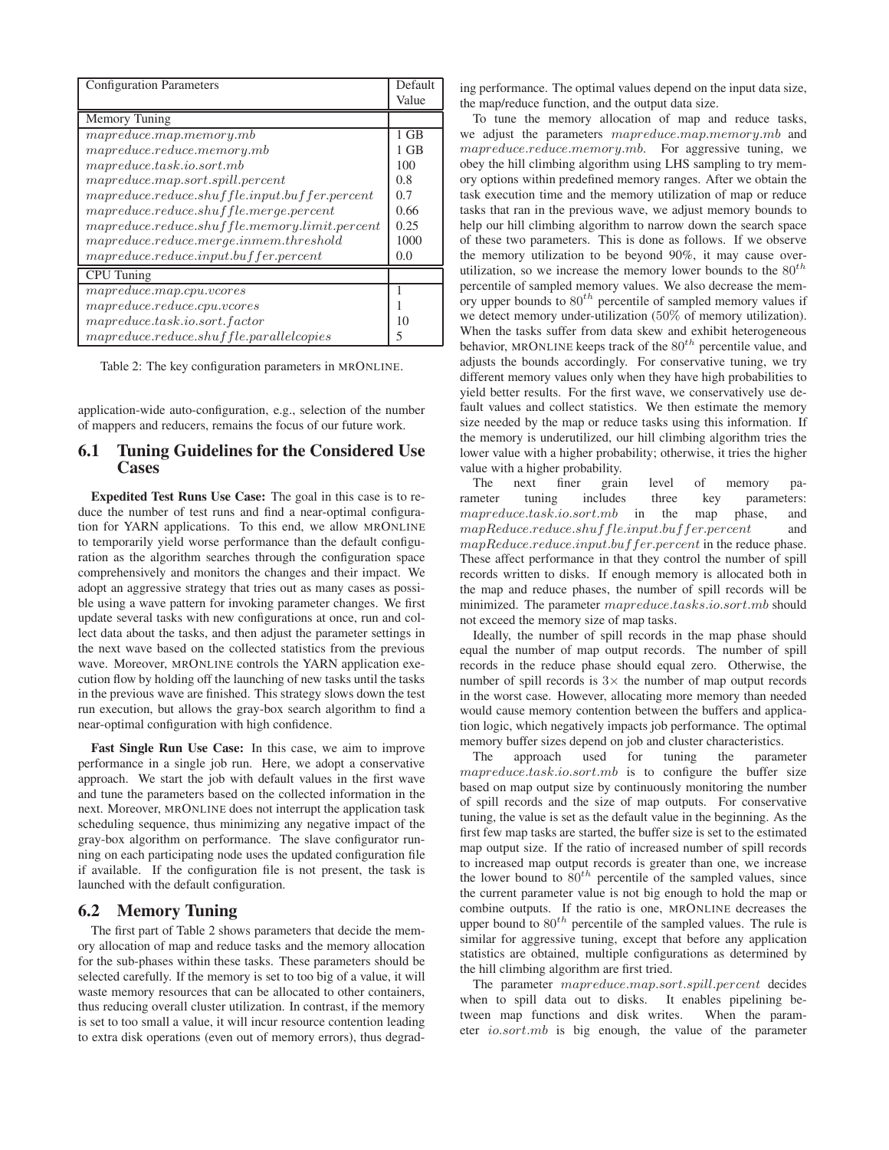| <b>Configuration Parameters</b>                   |        |  |
|---------------------------------------------------|--------|--|
|                                                   | Value  |  |
| Memory Tuning                                     |        |  |
| mapreducemap.memory.mb                            | $1$ GB |  |
| mapreduce.readuce.memory.mb                       | 1 GB   |  |
| mapreduce. task.io.sort.mb                        | 100    |  |
| $mapreduce-map.sort.split.percent$                | 0.8    |  |
| $mapreduce.readuce.shuffle. input.buffer.percent$ | 0.7    |  |
| $mapreduce.readuce.shuffle.merge.percent$         | 0.66   |  |
| $mapreduce.readuce.shuffle.memory.limit.percent$  | 0.25   |  |
| $mapreduce.readuce. merge.inmem.threshold$        | 1000   |  |
| $mapreduce.readuce.input.buffer.percent$          | 0.0    |  |
| <b>CPU</b> Tuning                                 |        |  |
| $mapreduce-map.cpu.vcores$                        |        |  |
| mapreduce.readuce.cpu.vcores                      |        |  |
| mapreduce. task.io.sort.factor                    | 10     |  |
| $mapreduce.readuce.shuffle. parallel copies$      | 5      |  |

Table 2: The key configuration parameters in MRONLINE.

application-wide auto-configuration, e.g., selection of the number of mappers and reducers, remains the focus of our future work.

#### **6.1 Tuning Guidelines for the Considered Use Cases**

**Expedited Test Runs Use Case:** The goal in this case is to reduce the number of test runs and find a near-optimal configuration for YARN applications. To this end, we allow MRONLINE to temporarily yield worse performance than the default configuration as the algorithm searches through the configuration space comprehensively and monitors the changes and their impact. We adopt an aggressive strategy that tries out as many cases as possible using a wave pattern for invoking parameter changes. We first update several tasks with new configurations at once, run and collect data about the tasks, and then adjust the parameter settings in the next wave based on the collected statistics from the previous wave. Moreover, MRONLINE controls the YARN application execution flow by holding off the launching of new tasks until the tasks in the previous wave are finished. This strategy slows down the test run execution, but allows the gray-box search algorithm to find a near-optimal configuration with high confidence.

**Fast Single Run Use Case:** In this case, we aim to improve performance in a single job run. Here, we adopt a conservative approach. We start the job with default values in the first wave and tune the parameters based on the collected information in the next. Moreover, MRONLINE does not interrupt the application task scheduling sequence, thus minimizing any negative impact of the gray-box algorithm on performance. The slave configurator running on each participating node uses the updated configuration file if available. If the configuration file is not present, the task is launched with the default configuration.

#### **6.2 Memory Tuning**

The first part of Table 2 shows parameters that decide the memory allocation of map and reduce tasks and the memory allocation for the sub-phases within these tasks. These parameters should be selected carefully. If the memory is set to too big of a value, it will waste memory resources that can be allocated to other containers, thus reducing overall cluster utilization. In contrast, if the memory is set to too small a value, it will incur resource contention leading to extra disk operations (even out of memory errors), thus degrading performance. The optimal values depend on the input data size, the map/reduce function, and the output data size.

To tune the memory allocation of map and reduce tasks, we adjust the parameters mapreduce.map.memory.mb and mapreduce.reduce.memory.mb. For aggressive tuning, we obey the hill climbing algorithm using LHS sampling to try memory options within predefined memory ranges. After we obtain the task execution time and the memory utilization of map or reduce tasks that ran in the previous wave, we adjust memory bounds to help our hill climbing algorithm to narrow down the search space of these two parameters. This is done as follows. If we observe the memory utilization to be beyond 90%, it may cause overutilization, so we increase the memory lower bounds to the  $80^{th}$ percentile of sampled memory values. We also decrease the memory upper bounds to  $80^{th}$  percentile of sampled memory values if we detect memory under-utilization (50% of memory utilization). When the tasks suffer from data skew and exhibit heterogeneous behavior, MRONLINE keeps track of the  $80^{th}$  percentile value, and adjusts the bounds accordingly. For conservative tuning, we try different memory values only when they have high probabilities to yield better results. For the first wave, we conservatively use default values and collect statistics. We then estimate the memory size needed by the map or reduce tasks using this information. If the memory is underutilized, our hill climbing algorithm tries the lower value with a higher probability; otherwise, it tries the higher value with a higher probability.

The next finer grain level of memory parameter tuning includes three key parameters: mapreduce.task.io.sort.mb in the map phase, and mapReduce.reduce.shuffle.input.buffer.percent and mapReduce.reduce.input.buffer.percent in the reduce phase. These affect performance in that they control the number of spill records written to disks. If enough memory is allocated both in the map and reduce phases, the number of spill records will be minimized. The parameter mapreduce.tasks.io.sort.mb should not exceed the memory size of map tasks.

Ideally, the number of spill records in the map phase should equal the number of map output records. The number of spill records in the reduce phase should equal zero. Otherwise, the number of spill records is  $3 \times$  the number of map output records in the worst case. However, allocating more memory than needed would cause memory contention between the buffers and application logic, which negatively impacts job performance. The optimal memory buffer sizes depend on job and cluster characteristics.

The approach used for tuning the parameter mapreduce.task.io.sort.mb is to configure the buffer size based on map output size by continuously monitoring the number of spill records and the size of map outputs. For conservative tuning, the value is set as the default value in the beginning. As the first few map tasks are started, the buffer size is set to the estimated map output size. If the ratio of increased number of spill records to increased map output records is greater than one, we increase the lower bound to  $80^{th}$  percentile of the sampled values, since the current parameter value is not big enough to hold the map or combine outputs. If the ratio is one, MRONLINE decreases the upper bound to  $80<sup>th</sup>$  percentile of the sampled values. The rule is similar for aggressive tuning, except that before any application statistics are obtained, multiple configurations as determined by the hill climbing algorithm are first tried.

The parameter mapreduce.map.sort.spill.percent decides when to spill data out to disks. It enables pipelining between map functions and disk writes. When the parameter io.sort.mb is big enough, the value of the parameter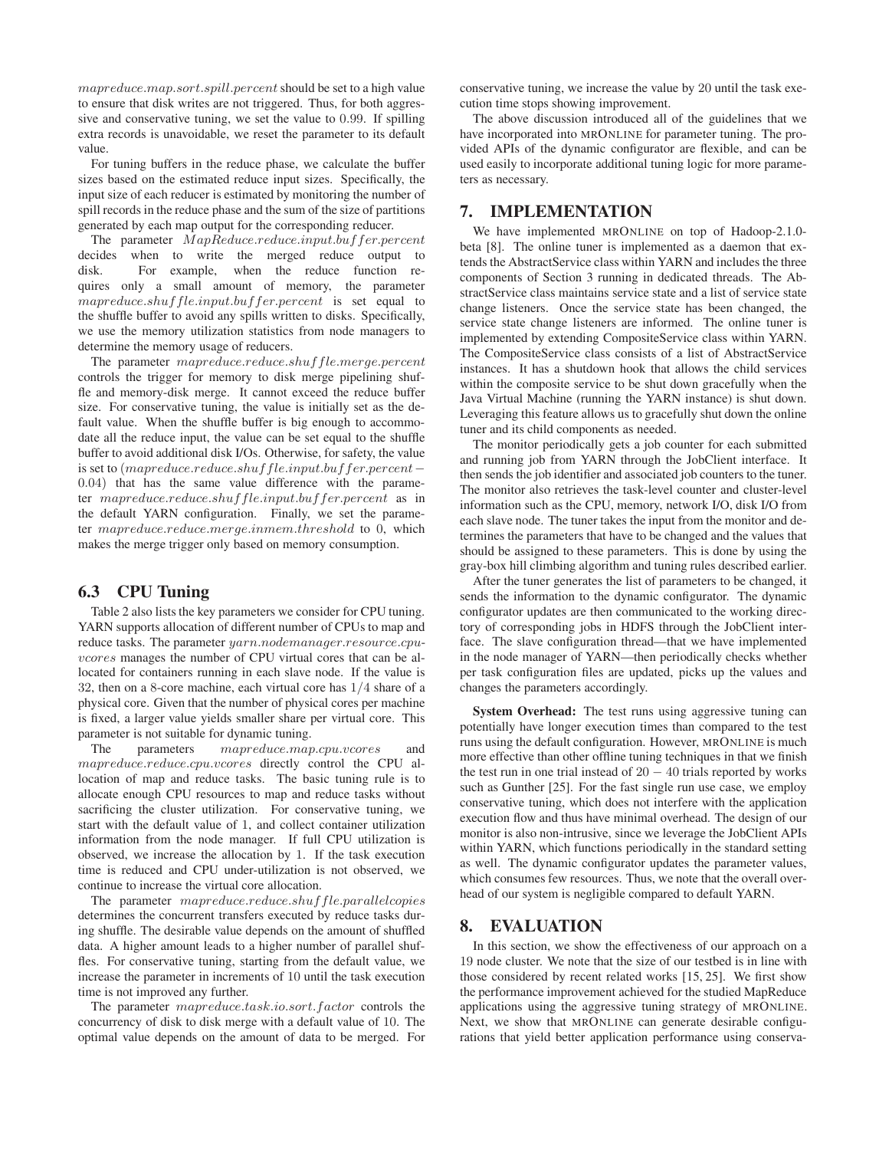mapreduce.map.sort.spill.percent should be set to a high value to ensure that disk writes are not triggered. Thus, for both aggressive and conservative tuning, we set the value to 0.99. If spilling extra records is unavoidable, we reset the parameter to its default value.

For tuning buffers in the reduce phase, we calculate the buffer sizes based on the estimated reduce input sizes. Specifically, the input size of each reducer is estimated by monitoring the number of spill records in the reduce phase and the sum of the size of partitions generated by each map output for the corresponding reducer.

The parameter MapReduce.reduce.input.buffer.percent decides when to write the merged reduce output to disk. For example, when the reduce function requires only a small amount of memory, the parameter mapreduce.shuffle.input.buffer.percent is set equal to the shuffle buffer to avoid any spills written to disks. Specifically, we use the memory utilization statistics from node managers to determine the memory usage of reducers.

The parameter mapreduce.reduce.shuffle.merge.percent controls the trigger for memory to disk merge pipelining shuffle and memory-disk merge. It cannot exceed the reduce buffer size. For conservative tuning, the value is initially set as the default value. When the shuffle buffer is big enough to accommodate all the reduce input, the value can be set equal to the shuffle buffer to avoid additional disk I/Os. Otherwise, for safety, the value is set to (mapreduce.reduce.shuff le.input.buffer.percent− 0.04) that has the same value difference with the parameter mapreduce.reduce.shuffle.input.buffer.percent as in the default YARN configuration. Finally, we set the parameter mapreduce.reduce.merge.inmem.threshold to 0, which makes the merge trigger only based on memory consumption.

#### **6.3 CPU Tuning**

Table 2 also lists the key parameters we consider for CPU tuning. YARN supports allocation of different number of CPUs to map and reduce tasks. The parameter yarn.nodemanager.resource.cpuvcores manages the number of CPU virtual cores that can be allocated for containers running in each slave node. If the value is 32, then on a 8-core machine, each virtual core has 1/4 share of a physical core. Given that the number of physical cores per machine is fixed, a larger value yields smaller share per virtual core. This parameter is not suitable for dynamic tuning.

The parameters mapreduce.map.cpu.vcores and mapreduce.reduce.cpu.vcores directly control the CPU allocation of map and reduce tasks. The basic tuning rule is to allocate enough CPU resources to map and reduce tasks without sacrificing the cluster utilization. For conservative tuning, we start with the default value of 1, and collect container utilization information from the node manager. If full CPU utilization is observed, we increase the allocation by 1. If the task execution time is reduced and CPU under-utilization is not observed, we continue to increase the virtual core allocation.

The parameter mapreduce.reduce.shuffle.parallelcopies determines the concurrent transfers executed by reduce tasks during shuffle. The desirable value depends on the amount of shuffled data. A higher amount leads to a higher number of parallel shuffles. For conservative tuning, starting from the default value, we increase the parameter in increments of 10 until the task execution time is not improved any further.

The parameter mapreduce.task.io.sort.factor controls the concurrency of disk to disk merge with a default value of 10. The optimal value depends on the amount of data to be merged. For conservative tuning, we increase the value by 20 until the task execution time stops showing improvement.

The above discussion introduced all of the guidelines that we have incorporated into MRONLINE for parameter tuning. The provided APIs of the dynamic configurator are flexible, and can be used easily to incorporate additional tuning logic for more parameters as necessary.

#### **7. IMPLEMENTATION**

We have implemented MRONLINE on top of Hadoop-2.1.0 beta [8]. The online tuner is implemented as a daemon that extends the AbstractService class within YARN and includes the three components of Section 3 running in dedicated threads. The AbstractService class maintains service state and a list of service state change listeners. Once the service state has been changed, the service state change listeners are informed. The online tuner is implemented by extending CompositeService class within YARN. The CompositeService class consists of a list of AbstractService instances. It has a shutdown hook that allows the child services within the composite service to be shut down gracefully when the Java Virtual Machine (running the YARN instance) is shut down. Leveraging this feature allows us to gracefully shut down the online tuner and its child components as needed.

The monitor periodically gets a job counter for each submitted and running job from YARN through the JobClient interface. It then sends the job identifier and associated job counters to the tuner. The monitor also retrieves the task-level counter and cluster-level information such as the CPU, memory, network I/O, disk I/O from each slave node. The tuner takes the input from the monitor and determines the parameters that have to be changed and the values that should be assigned to these parameters. This is done by using the gray-box hill climbing algorithm and tuning rules described earlier.

After the tuner generates the list of parameters to be changed, it sends the information to the dynamic configurator. The dynamic configurator updates are then communicated to the working directory of corresponding jobs in HDFS through the JobClient interface. The slave configuration thread—that we have implemented in the node manager of YARN—then periodically checks whether per task configuration files are updated, picks up the values and changes the parameters accordingly.

**System Overhead:** The test runs using aggressive tuning can potentially have longer execution times than compared to the test runs using the default configuration. However, MRONLINE is much more effective than other offline tuning techniques in that we finish the test run in one trial instead of  $20 - 40$  trials reported by works such as Gunther [25]. For the fast single run use case, we employ conservative tuning, which does not interfere with the application execution flow and thus have minimal overhead. The design of our monitor is also non-intrusive, since we leverage the JobClient APIs within YARN, which functions periodically in the standard setting as well. The dynamic configurator updates the parameter values, which consumes few resources. Thus, we note that the overall overhead of our system is negligible compared to default YARN.

## **8. EVALUATION**

In this section, we show the effectiveness of our approach on a 19 node cluster. We note that the size of our testbed is in line with those considered by recent related works [15, 25]. We first show the performance improvement achieved for the studied MapReduce applications using the aggressive tuning strategy of MRONLINE. Next, we show that MRONLINE can generate desirable configurations that yield better application performance using conserva-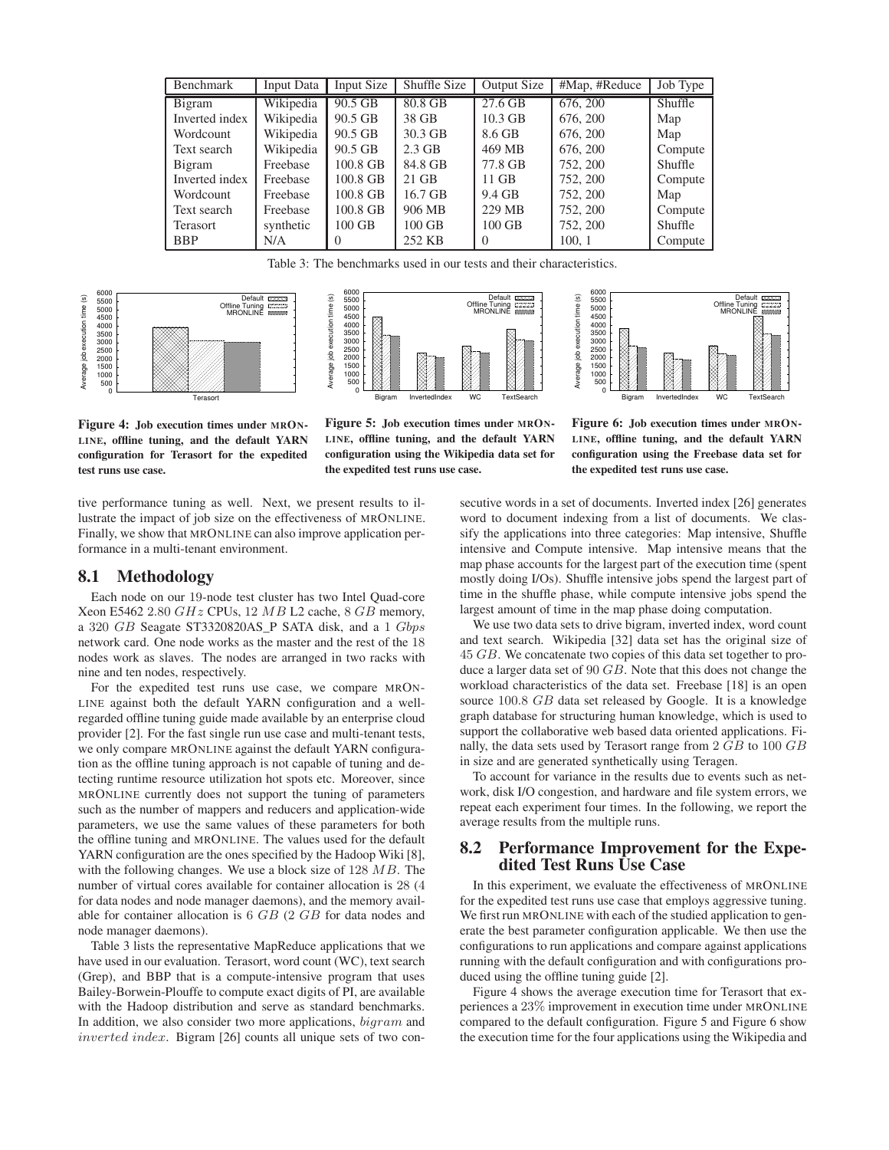| Benchmark       | Input Data | Input Size | Shuffle Size | <b>Output Size</b> | #Map, #Reduce | Job Type       |
|-----------------|------------|------------|--------------|--------------------|---------------|----------------|
| Bigram          | Wikipedia  | 90.5 GB    | 80.8 GB      | 27.6 GB            | 676, 200      | <b>Shuffle</b> |
| Inverted index  | Wikipedia  | 90.5 GB    | 38 GB        | $10.3$ GB          | 676, 200      | Map            |
| Wordcount       | Wikipedia  | 90.5 GB    | 30.3 GB      | 8.6 GB             | 676, 200      | Map            |
| Text search     | Wikipedia  | 90.5 GB    | $2.3$ GB     | 469 MB             | 676, 200      | Compute        |
| Bigram          | Freebase   | 100.8 GB   | 84.8 GB      | 77.8 GB            | 752, 200      | <b>Shuffle</b> |
| Inverted index  | Freebase   | 100.8 GB   | $21$ GB      | $11$ GB            | 752, 200      | Compute        |
| Wordcount       | Freebase   | 100.8 GB   | 16.7 GB      | 9.4 GB             | 752, 200      | Map            |
| Text search     | Freebase   | 100.8 GB   | 906 MB       | 229 MB             | 752, 200      | Compute        |
| <b>Terasort</b> | synthetic  | $100$ GB   | $100$ GB     | $100$ GB           | 752, 200      | <b>Shuffle</b> |
| <b>BBP</b>      | N/A        | $\Omega$   | 252 KB       | $\Omega$           | 100, 1        | Compute        |

Table 3: The benchmarks used in our tests and their characteristics.







**Figure 4: Job execution times under MRON-LINE, offline tuning, and the default YARN configuration for Terasort for the expedited test runs use case.**

**Figure 5: Job execution times under MRON-LINE, offline tuning, and the default YARN configuration using the Wikipedia data set for the expedited test runs use case.**

**Figure 6: Job execution times under MRON-LINE, offline tuning, and the default YARN configuration using the Freebase data set for the expedited test runs use case.**

tive performance tuning as well. Next, we present results to illustrate the impact of job size on the effectiveness of MRONLINE. Finally, we show that MRONLINE can also improve application performance in a multi-tenant environment.

#### **8.1 Methodology**

Each node on our 19-node test cluster has two Intel Quad-core Xeon E5462 2.80 GHz CPUs, 12 MB L2 cache, 8 GB memory, a 320 GB Seagate ST3320820AS\_P SATA disk, and a 1 Gbps network card. One node works as the master and the rest of the 18 nodes work as slaves. The nodes are arranged in two racks with nine and ten nodes, respectively.

For the expedited test runs use case, we compare MRON-LINE against both the default YARN configuration and a wellregarded offline tuning guide made available by an enterprise cloud provider [2]. For the fast single run use case and multi-tenant tests, we only compare MRONLINE against the default YARN configuration as the offline tuning approach is not capable of tuning and detecting runtime resource utilization hot spots etc. Moreover, since MRONLINE currently does not support the tuning of parameters such as the number of mappers and reducers and application-wide parameters, we use the same values of these parameters for both the offline tuning and MRONLINE. The values used for the default YARN configuration are the ones specified by the Hadoop Wiki [8], with the following changes. We use a block size of  $128 \text{ } MB$ . The number of virtual cores available for container allocation is 28 (4 for data nodes and node manager daemons), and the memory available for container allocation is 6 GB (2 GB for data nodes and node manager daemons).

Table 3 lists the representative MapReduce applications that we have used in our evaluation. Terasort, word count (WC), text search (Grep), and BBP that is a compute-intensive program that uses Bailey-Borwein-Plouffe to compute exact digits of PI, are available with the Hadoop distribution and serve as standard benchmarks. In addition, we also consider two more applications,  $bigram$  and inverted index. Bigram [26] counts all unique sets of two consecutive words in a set of documents. Inverted index [26] generates word to document indexing from a list of documents. We classify the applications into three categories: Map intensive, Shuffle intensive and Compute intensive. Map intensive means that the map phase accounts for the largest part of the execution time (spent mostly doing I/Os). Shuffle intensive jobs spend the largest part of time in the shuffle phase, while compute intensive jobs spend the largest amount of time in the map phase doing computation.

We use two data sets to drive bigram, inverted index, word count and text search. Wikipedia [32] data set has the original size of 45 GB. We concatenate two copies of this data set together to produce a larger data set of 90 GB. Note that this does not change the workload characteristics of the data set. Freebase [18] is an open source 100.8 GB data set released by Google. It is a knowledge graph database for structuring human knowledge, which is used to support the collaborative web based data oriented applications. Finally, the data sets used by Terasort range from 2 GB to 100 GB in size and are generated synthetically using Teragen.

To account for variance in the results due to events such as network, disk I/O congestion, and hardware and file system errors, we repeat each experiment four times. In the following, we report the average results from the multiple runs.

#### **8.2 Performance Improvement for the Expedited Test Runs Use Case**

In this experiment, we evaluate the effectiveness of MRONLINE for the expedited test runs use case that employs aggressive tuning. We first run MRONLINE with each of the studied application to generate the best parameter configuration applicable. We then use the configurations to run applications and compare against applications running with the default configuration and with configurations produced using the offline tuning guide [2].

Figure 4 shows the average execution time for Terasort that experiences a 23% improvement in execution time under MRONLINE compared to the default configuration. Figure 5 and Figure 6 show the execution time for the four applications using the Wikipedia and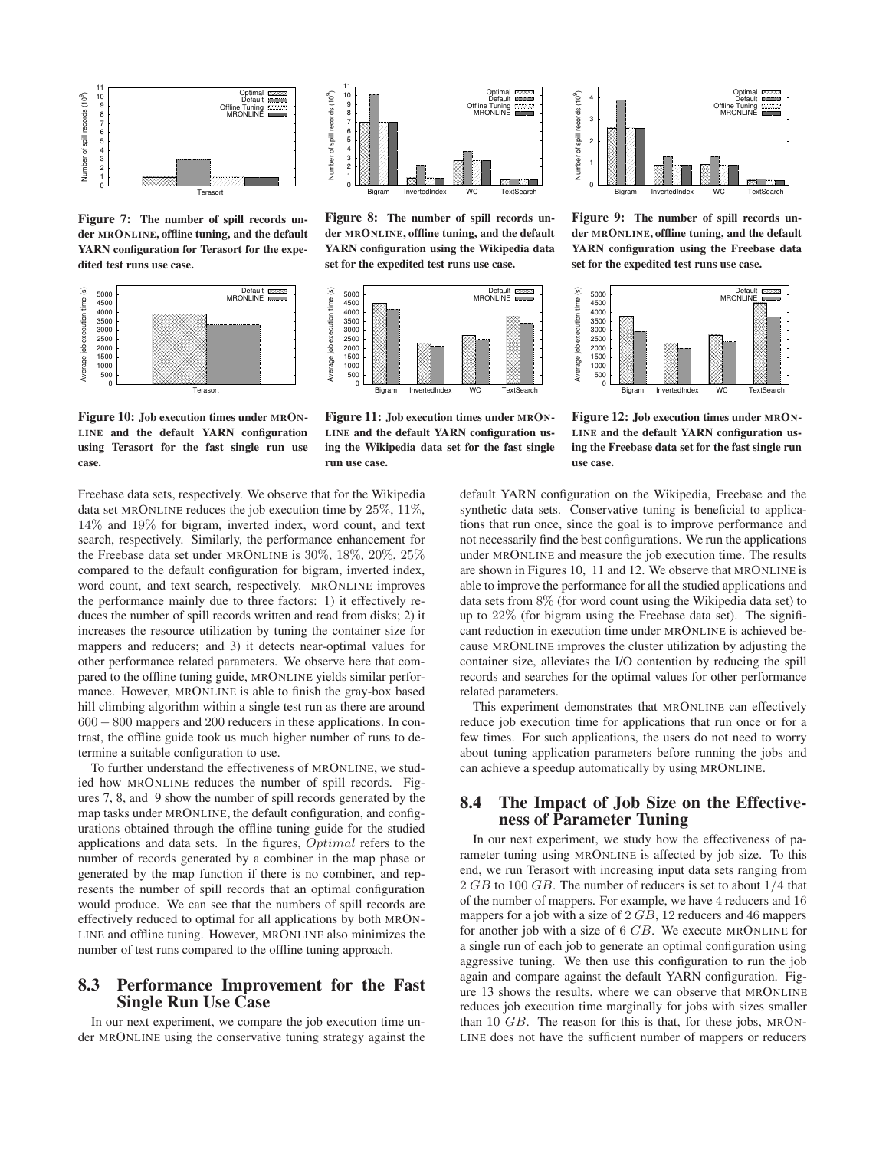

**Figure 7: The number of spill records under MRONLINE, offline tuning, and the default YARN configuration for Terasort for the expedited test runs use case.**





**Figure 8: The number of spill records under MRONLINE, offline tuning, and the default YARN configuration using the Wikipedia data set for the expedited test runs use case.**



**Figure 10: Job execution times under MRON-LINE and the default YARN configuration using Terasort for the fast single run use case.**

**Figure 11: Job execution times under MRON-LINE and the default YARN configuration using the Wikipedia data set for the fast single run use case.**



**Figure 9: The number of spill records under MRONLINE, offline tuning, and the default YARN configuration using the Freebase data set for the expedited test runs use case.**



**Figure 12: Job execution times under MRON-LINE and the default YARN configuration using the Freebase data set for the fast single run use case.**

Freebase data sets, respectively. We observe that for the Wikipedia data set MRONLINE reduces the job execution time by 25%, 11%, 14% and 19% for bigram, inverted index, word count, and text search, respectively. Similarly, the performance enhancement for the Freebase data set under MRONLINE is 30%, 18%, 20%, 25% compared to the default configuration for bigram, inverted index, word count, and text search, respectively. MRONLINE improves the performance mainly due to three factors: 1) it effectively reduces the number of spill records written and read from disks; 2) it increases the resource utilization by tuning the container size for mappers and reducers; and 3) it detects near-optimal values for other performance related parameters. We observe here that compared to the offline tuning guide, MRONLINE yields similar performance. However, MRONLINE is able to finish the gray-box based hill climbing algorithm within a single test run as there are around 600− 800 mappers and 200 reducers in these applications. In contrast, the offline guide took us much higher number of runs to determine a suitable configuration to use.

To further understand the effectiveness of MRONLINE, we studied how MRONLINE reduces the number of spill records. Figures 7, 8, and 9 show the number of spill records generated by the map tasks under MRONLINE, the default configuration, and configurations obtained through the offline tuning guide for the studied applications and data sets. In the figures, Optimal refers to the number of records generated by a combiner in the map phase or generated by the map function if there is no combiner, and represents the number of spill records that an optimal configuration would produce. We can see that the numbers of spill records are effectively reduced to optimal for all applications by both MRON-LINE and offline tuning. However, MRONLINE also minimizes the number of test runs compared to the offline tuning approach.

#### **8.3 Performance Improvement for the Fast Single Run Use Case**

In our next experiment, we compare the job execution time under MRONLINE using the conservative tuning strategy against the default YARN configuration on the Wikipedia, Freebase and the synthetic data sets. Conservative tuning is beneficial to applications that run once, since the goal is to improve performance and not necessarily find the best configurations. We run the applications under MRONLINE and measure the job execution time. The results are shown in Figures 10, 11 and 12. We observe that MRONLINE is able to improve the performance for all the studied applications and data sets from 8% (for word count using the Wikipedia data set) to up to 22% (for bigram using the Freebase data set). The significant reduction in execution time under MRONLINE is achieved because MRONLINE improves the cluster utilization by adjusting the container size, alleviates the I/O contention by reducing the spill records and searches for the optimal values for other performance related parameters.

This experiment demonstrates that MRONLINE can effectively reduce job execution time for applications that run once or for a few times. For such applications, the users do not need to worry about tuning application parameters before running the jobs and can achieve a speedup automatically by using MRONLINE.

#### **8.4 The Impact of Job Size on the Effectiveness of Parameter Tuning**

In our next experiment, we study how the effectiveness of parameter tuning using MRONLINE is affected by job size. To this end, we run Terasort with increasing input data sets ranging from 2 GB to 100 GB. The number of reducers is set to about  $1/4$  that of the number of mappers. For example, we have 4 reducers and 16 mappers for a job with a size of 2 GB, 12 reducers and 46 mappers for another job with a size of 6 GB. We execute MRONLINE for a single run of each job to generate an optimal configuration using aggressive tuning. We then use this configuration to run the job again and compare against the default YARN configuration. Figure 13 shows the results, where we can observe that MRONLINE reduces job execution time marginally for jobs with sizes smaller than 10 GB. The reason for this is that, for these jobs, MRON-LINE does not have the sufficient number of mappers or reducers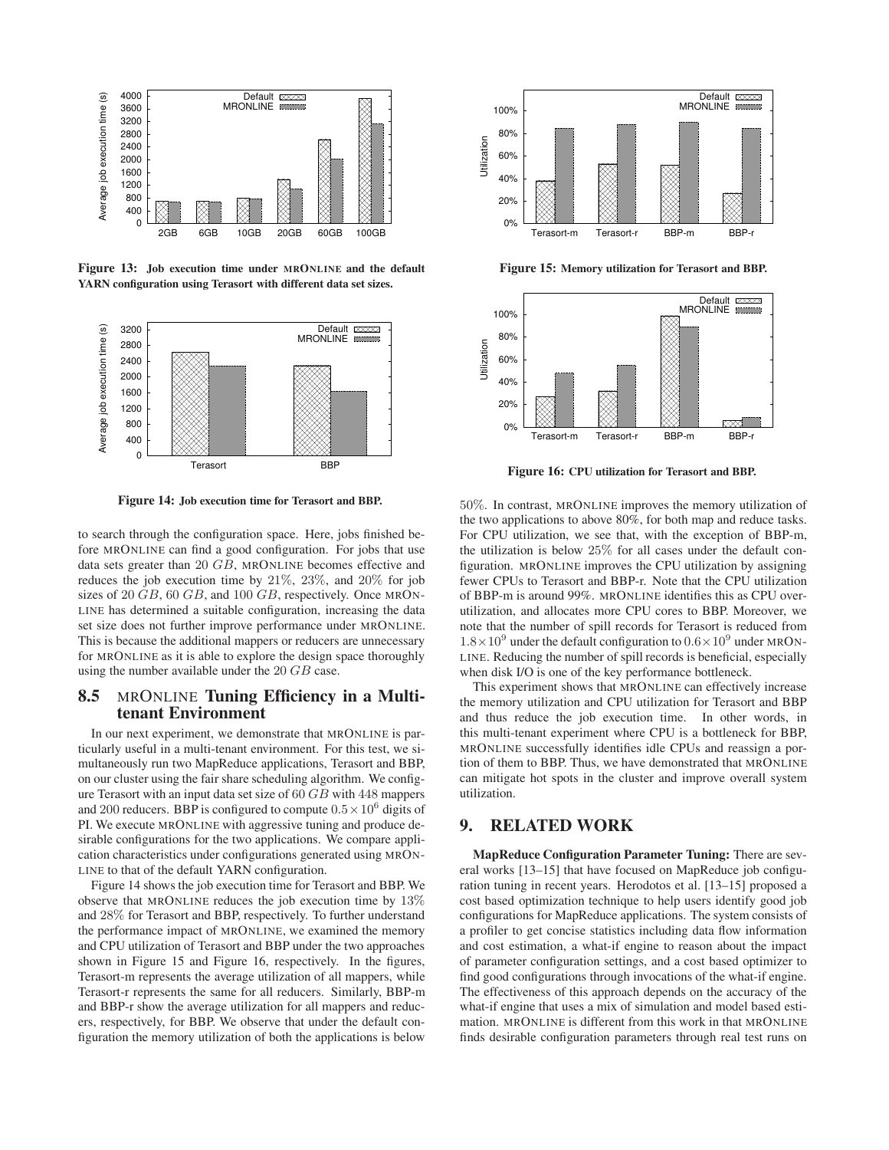

**Figure 13: Job execution time under MRONLINE and the default YARN configuration using Terasort with different data set sizes.**



**Figure 14: Job execution time for Terasort and BBP.**

to search through the configuration space. Here, jobs finished before MRONLINE can find a good configuration. For jobs that use data sets greater than 20 GB, MRONLINE becomes effective and reduces the job execution time by 21%, 23%, and 20% for job sizes of 20  $GB$ , 60  $GB$ , and 100  $GB$ , respectively. Once MRON-LINE has determined a suitable configuration, increasing the data set size does not further improve performance under MRONLINE. This is because the additional mappers or reducers are unnecessary for MRONLINE as it is able to explore the design space thoroughly using the number available under the 20 GB case.

#### **8.5** MRONLINE **Tuning Efficiency in a Multitenant Environment**

In our next experiment, we demonstrate that MRONLINE is particularly useful in a multi-tenant environment. For this test, we simultaneously run two MapReduce applications, Terasort and BBP, on our cluster using the fair share scheduling algorithm. We configure Terasort with an input data set size of 60 GB with 448 mappers and 200 reducers. BBP is configured to compute  $0.5 \times 10^6$  digits of PI. We execute MRONLINE with aggressive tuning and produce desirable configurations for the two applications. We compare application characteristics under configurations generated using MRON-LINE to that of the default YARN configuration.

Figure 14 shows the job execution time for Terasort and BBP. We observe that MRONLINE reduces the job execution time by 13% and 28% for Terasort and BBP, respectively. To further understand the performance impact of MRONLINE, we examined the memory and CPU utilization of Terasort and BBP under the two approaches shown in Figure 15 and Figure 16, respectively. In the figures, Terasort-m represents the average utilization of all mappers, while Terasort-r represents the same for all reducers. Similarly, BBP-m and BBP-r show the average utilization for all mappers and reducers, respectively, for BBP. We observe that under the default configuration the memory utilization of both the applications is below



**Figure 15: Memory utilization for Terasort and BBP.**



**Figure 16: CPU utilization for Terasort and BBP.**

50%. In contrast, MRONLINE improves the memory utilization of the two applications to above 80%, for both map and reduce tasks. For CPU utilization, we see that, with the exception of BBP-m, the utilization is below 25% for all cases under the default configuration. MRONLINE improves the CPU utilization by assigning fewer CPUs to Terasort and BBP-r. Note that the CPU utilization of BBP-m is around 99%. MRONLINE identifies this as CPU overutilization, and allocates more CPU cores to BBP. Moreover, we note that the number of spill records for Terasort is reduced from  $1.8 \times 10^9$  under the default configuration to  $0.6 \times 10^9$  under MRON-LINE. Reducing the number of spill records is beneficial, especially when disk I/O is one of the key performance bottleneck.

This experiment shows that MRONLINE can effectively increase the memory utilization and CPU utilization for Terasort and BBP and thus reduce the job execution time. In other words, in this multi-tenant experiment where CPU is a bottleneck for BBP, MRONLINE successfully identifies idle CPUs and reassign a portion of them to BBP. Thus, we have demonstrated that MRONLINE can mitigate hot spots in the cluster and improve overall system utilization.

#### **9. RELATED WORK**

**MapReduce Configuration Parameter Tuning:** There are several works [13–15] that have focused on MapReduce job configuration tuning in recent years. Herodotos et al. [13–15] proposed a cost based optimization technique to help users identify good job configurations for MapReduce applications. The system consists of a profiler to get concise statistics including data flow information and cost estimation, a what-if engine to reason about the impact of parameter configuration settings, and a cost based optimizer to find good configurations through invocations of the what-if engine. The effectiveness of this approach depends on the accuracy of the what-if engine that uses a mix of simulation and model based estimation. MRONLINE is different from this work in that MRONLINE finds desirable configuration parameters through real test runs on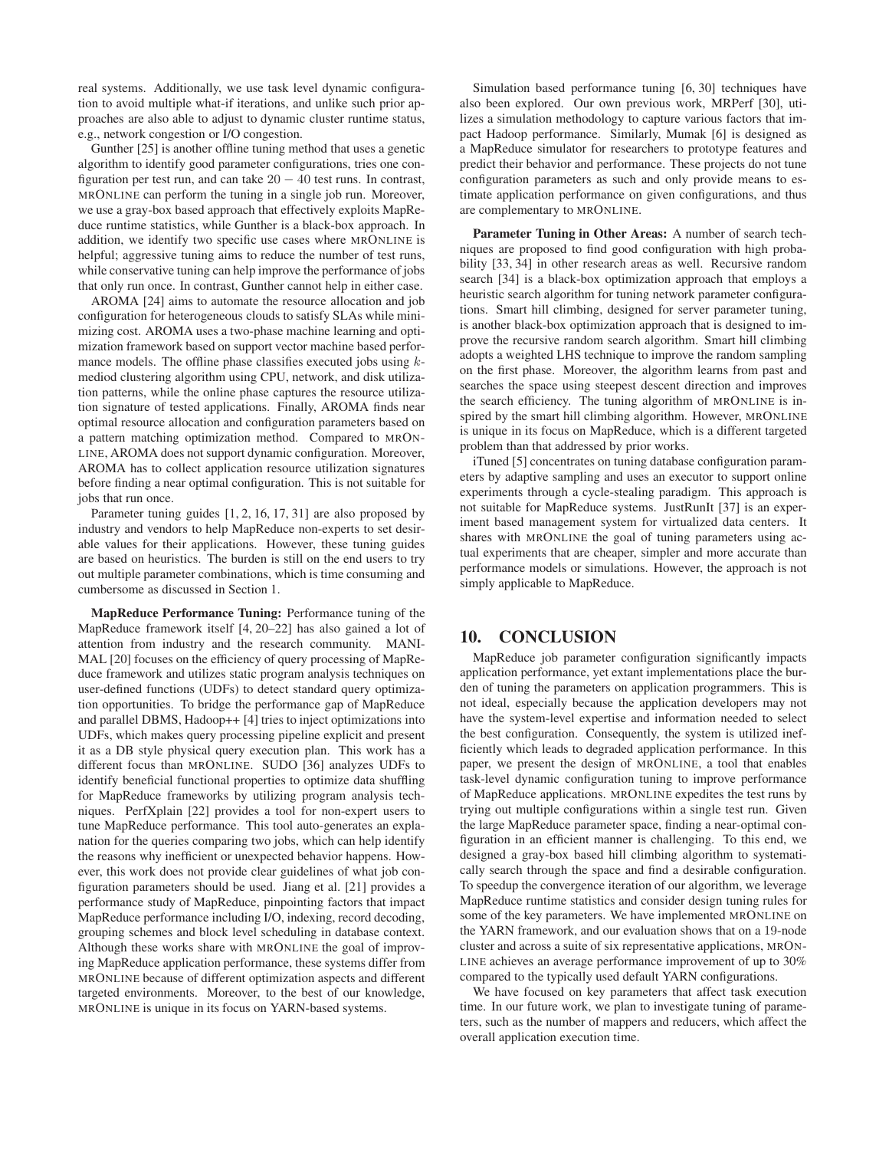real systems. Additionally, we use task level dynamic configuration to avoid multiple what-if iterations, and unlike such prior approaches are also able to adjust to dynamic cluster runtime status, e.g., network congestion or I/O congestion.

Gunther [25] is another offline tuning method that uses a genetic algorithm to identify good parameter configurations, tries one configuration per test run, and can take  $20 - 40$  test runs. In contrast, MRONLINE can perform the tuning in a single job run. Moreover, we use a gray-box based approach that effectively exploits MapReduce runtime statistics, while Gunther is a black-box approach. In addition, we identify two specific use cases where MRONLINE is helpful; aggressive tuning aims to reduce the number of test runs, while conservative tuning can help improve the performance of jobs that only run once. In contrast, Gunther cannot help in either case.

AROMA [24] aims to automate the resource allocation and job configuration for heterogeneous clouds to satisfy SLAs while minimizing cost. AROMA uses a two-phase machine learning and optimization framework based on support vector machine based performance models. The offline phase classifies executed jobs using  $k$ mediod clustering algorithm using CPU, network, and disk utilization patterns, while the online phase captures the resource utilization signature of tested applications. Finally, AROMA finds near optimal resource allocation and configuration parameters based on a pattern matching optimization method. Compared to MRON-LINE, AROMA does not support dynamic configuration. Moreover, AROMA has to collect application resource utilization signatures before finding a near optimal configuration. This is not suitable for jobs that run once.

Parameter tuning guides [1, 2, 16, 17, 31] are also proposed by industry and vendors to help MapReduce non-experts to set desirable values for their applications. However, these tuning guides are based on heuristics. The burden is still on the end users to try out multiple parameter combinations, which is time consuming and cumbersome as discussed in Section 1.

**MapReduce Performance Tuning:** Performance tuning of the MapReduce framework itself [4, 20–22] has also gained a lot of attention from industry and the research community. MANI-MAL [20] focuses on the efficiency of query processing of MapReduce framework and utilizes static program analysis techniques on user-defined functions (UDFs) to detect standard query optimization opportunities. To bridge the performance gap of MapReduce and parallel DBMS, Hadoop++ [4] tries to inject optimizations into UDFs, which makes query processing pipeline explicit and present it as a DB style physical query execution plan. This work has a different focus than MRONLINE. SUDO [36] analyzes UDFs to identify beneficial functional properties to optimize data shuffling for MapReduce frameworks by utilizing program analysis techniques. PerfXplain [22] provides a tool for non-expert users to tune MapReduce performance. This tool auto-generates an explanation for the queries comparing two jobs, which can help identify the reasons why inefficient or unexpected behavior happens. However, this work does not provide clear guidelines of what job configuration parameters should be used. Jiang et al. [21] provides a performance study of MapReduce, pinpointing factors that impact MapReduce performance including I/O, indexing, record decoding, grouping schemes and block level scheduling in database context. Although these works share with MRONLINE the goal of improving MapReduce application performance, these systems differ from MRONLINE because of different optimization aspects and different targeted environments. Moreover, to the best of our knowledge, MRONLINE is unique in its focus on YARN-based systems.

Simulation based performance tuning [6, 30] techniques have also been explored. Our own previous work, MRPerf [30], utilizes a simulation methodology to capture various factors that impact Hadoop performance. Similarly, Mumak [6] is designed as a MapReduce simulator for researchers to prototype features and predict their behavior and performance. These projects do not tune configuration parameters as such and only provide means to estimate application performance on given configurations, and thus are complementary to MRONLINE.

**Parameter Tuning in Other Areas:** A number of search techniques are proposed to find good configuration with high probability [33, 34] in other research areas as well. Recursive random search [34] is a black-box optimization approach that employs a heuristic search algorithm for tuning network parameter configurations. Smart hill climbing, designed for server parameter tuning, is another black-box optimization approach that is designed to improve the recursive random search algorithm. Smart hill climbing adopts a weighted LHS technique to improve the random sampling on the first phase. Moreover, the algorithm learns from past and searches the space using steepest descent direction and improves the search efficiency. The tuning algorithm of MRONLINE is inspired by the smart hill climbing algorithm. However, MRONLINE is unique in its focus on MapReduce, which is a different targeted problem than that addressed by prior works.

iTuned [5] concentrates on tuning database configuration parameters by adaptive sampling and uses an executor to support online experiments through a cycle-stealing paradigm. This approach is not suitable for MapReduce systems. JustRunIt [37] is an experiment based management system for virtualized data centers. It shares with MRONLINE the goal of tuning parameters using actual experiments that are cheaper, simpler and more accurate than performance models or simulations. However, the approach is not simply applicable to MapReduce.

#### **10. CONCLUSION**

MapReduce job parameter configuration significantly impacts application performance, yet extant implementations place the burden of tuning the parameters on application programmers. This is not ideal, especially because the application developers may not have the system-level expertise and information needed to select the best configuration. Consequently, the system is utilized inefficiently which leads to degraded application performance. In this paper, we present the design of MRONLINE, a tool that enables task-level dynamic configuration tuning to improve performance of MapReduce applications. MRONLINE expedites the test runs by trying out multiple configurations within a single test run. Given the large MapReduce parameter space, finding a near-optimal configuration in an efficient manner is challenging. To this end, we designed a gray-box based hill climbing algorithm to systematically search through the space and find a desirable configuration. To speedup the convergence iteration of our algorithm, we leverage MapReduce runtime statistics and consider design tuning rules for some of the key parameters. We have implemented MRONLINE on the YARN framework, and our evaluation shows that on a 19-node cluster and across a suite of six representative applications, MRON-LINE achieves an average performance improvement of up to 30% compared to the typically used default YARN configurations.

We have focused on key parameters that affect task execution time. In our future work, we plan to investigate tuning of parameters, such as the number of mappers and reducers, which affect the overall application execution time.